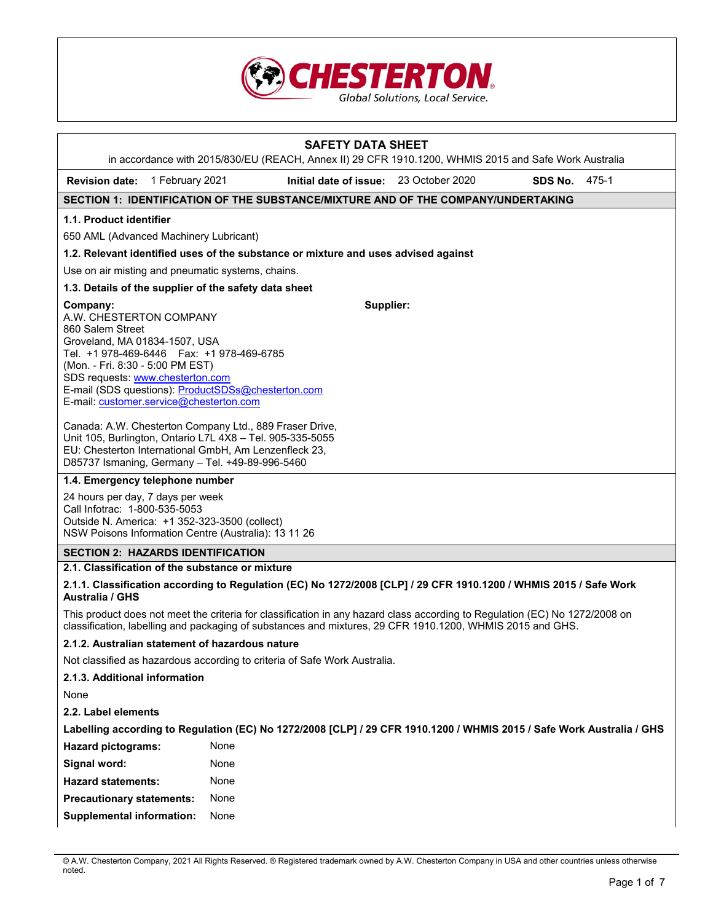

| <b>SAFETY DATA SHEET</b><br>in accordance with 2015/830/EU (REACH, Annex II) 29 CFR 1910.1200, WHMIS 2015 and Safe Work Australia                                                                                                                                                                                             |                                                                                    |                 |                  |  |  |
|-------------------------------------------------------------------------------------------------------------------------------------------------------------------------------------------------------------------------------------------------------------------------------------------------------------------------------|------------------------------------------------------------------------------------|-----------------|------------------|--|--|
| <b>Revision date:</b><br>1 February 2021                                                                                                                                                                                                                                                                                      | Initial date of issue:                                                             | 23 October 2020 | SDS No.<br>475-1 |  |  |
|                                                                                                                                                                                                                                                                                                                               | SECTION 1: IDENTIFICATION OF THE SUBSTANCE/MIXTURE AND OF THE COMPANY/UNDERTAKING  |                 |                  |  |  |
| 1.1. Product identifier                                                                                                                                                                                                                                                                                                       |                                                                                    |                 |                  |  |  |
| 650 AML (Advanced Machinery Lubricant)                                                                                                                                                                                                                                                                                        |                                                                                    |                 |                  |  |  |
|                                                                                                                                                                                                                                                                                                                               | 1.2. Relevant identified uses of the substance or mixture and uses advised against |                 |                  |  |  |
| Use on air misting and pneumatic systems, chains.                                                                                                                                                                                                                                                                             |                                                                                    |                 |                  |  |  |
| 1.3. Details of the supplier of the safety data sheet                                                                                                                                                                                                                                                                         |                                                                                    |                 |                  |  |  |
| Supplier:<br>Company:<br>A.W. CHESTERTON COMPANY<br>860 Salem Street<br>Groveland, MA 01834-1507, USA<br>Tel. +1 978-469-6446   Fax: +1 978-469-6785<br>(Mon. - Fri. 8:30 - 5:00 PM EST)<br>SDS requests: www.chesterton.com<br>E-mail (SDS questions): ProductSDSs@chesterton.com<br>E-mail: customer.service@chesterton.com |                                                                                    |                 |                  |  |  |
| Canada: A.W. Chesterton Company Ltd., 889 Fraser Drive,<br>Unit 105, Burlington, Ontario L7L 4X8 - Tel. 905-335-5055<br>EU: Chesterton International GmbH, Am Lenzenfleck 23,<br>D85737 Ismaning, Germany - Tel. +49-89-996-5460                                                                                              |                                                                                    |                 |                  |  |  |
| 1.4. Emergency telephone number                                                                                                                                                                                                                                                                                               |                                                                                    |                 |                  |  |  |
| 24 hours per day, 7 days per week<br>Call Infotrac: 1-800-535-5053<br>Outside N. America: +1 352-323-3500 (collect)<br>NSW Poisons Information Centre (Australia): 13 11 26                                                                                                                                                   |                                                                                    |                 |                  |  |  |
| <b>SECTION 2: HAZARDS IDENTIFICATION</b>                                                                                                                                                                                                                                                                                      |                                                                                    |                 |                  |  |  |
| 2.1. Classification of the substance or mixture                                                                                                                                                                                                                                                                               |                                                                                    |                 |                  |  |  |
| 2.1.1. Classification according to Regulation (EC) No 1272/2008 [CLP] / 29 CFR 1910.1200 / WHMIS 2015 / Safe Work<br><b>Australia / GHS</b>                                                                                                                                                                                   |                                                                                    |                 |                  |  |  |
| This product does not meet the criteria for classification in any hazard class according to Regulation (EC) No 1272/2008 on<br>classification, labelling and packaging of substances and mixtures, 29 CFR 1910.1200, WHMIS 2015 and GHS.                                                                                      |                                                                                    |                 |                  |  |  |
| 2.1.2. Australian statement of hazardous nature                                                                                                                                                                                                                                                                               |                                                                                    |                 |                  |  |  |
| Not classified as hazardous according to criteria of Safe Work Australia.                                                                                                                                                                                                                                                     |                                                                                    |                 |                  |  |  |
| 2.1.3. Additional information                                                                                                                                                                                                                                                                                                 |                                                                                    |                 |                  |  |  |
| None                                                                                                                                                                                                                                                                                                                          |                                                                                    |                 |                  |  |  |
| 2.2. Label elements                                                                                                                                                                                                                                                                                                           |                                                                                    |                 |                  |  |  |
| Labelling according to Regulation (EC) No 1272/2008 [CLP] / 29 CFR 1910.1200 / WHMIS 2015 / Safe Work Australia / GHS                                                                                                                                                                                                         |                                                                                    |                 |                  |  |  |
| <b>Hazard pictograms:</b>                                                                                                                                                                                                                                                                                                     | None                                                                               |                 |                  |  |  |
| Signal word:                                                                                                                                                                                                                                                                                                                  | None                                                                               |                 |                  |  |  |
| <b>Hazard statements:</b>                                                                                                                                                                                                                                                                                                     | None                                                                               |                 |                  |  |  |
| <b>Precautionary statements:</b>                                                                                                                                                                                                                                                                                              | None                                                                               |                 |                  |  |  |
| <b>Supplemental information:</b>                                                                                                                                                                                                                                                                                              | None                                                                               |                 |                  |  |  |

<sup>©</sup> A.W. Chesterton Company, 2021 All Rights Reserved. ® Registered trademark owned by A.W. Chesterton Company in USA and other countries unless otherwise noted.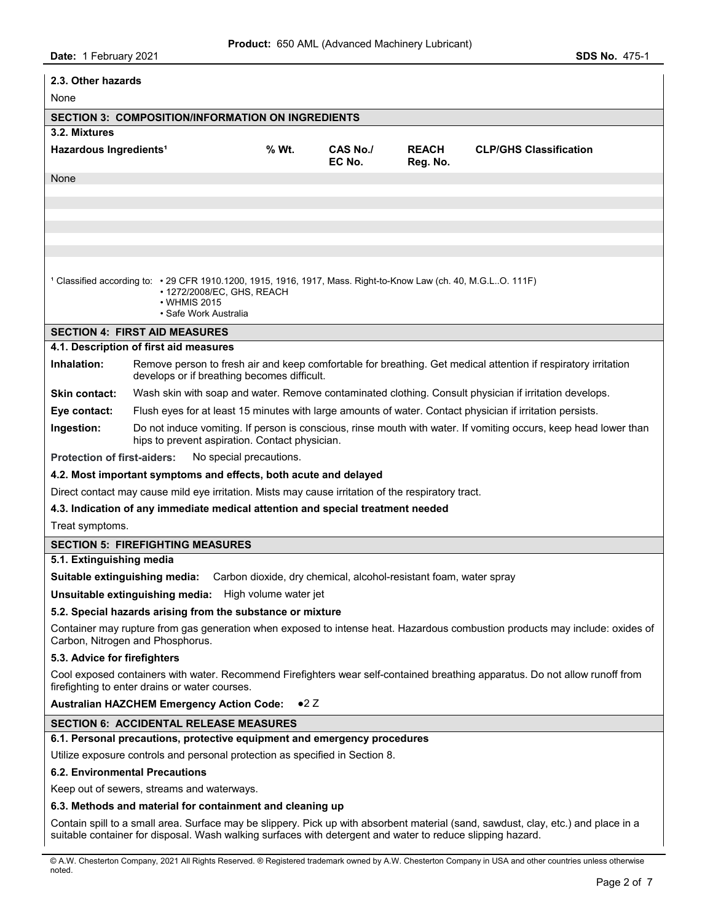| 2.3. Other hazards                                                                                                                                                                                                                               |                                                                                                                                                                     |                                                |                    |                          |                                                                                                                  |
|--------------------------------------------------------------------------------------------------------------------------------------------------------------------------------------------------------------------------------------------------|---------------------------------------------------------------------------------------------------------------------------------------------------------------------|------------------------------------------------|--------------------|--------------------------|------------------------------------------------------------------------------------------------------------------|
| None                                                                                                                                                                                                                                             |                                                                                                                                                                     |                                                |                    |                          |                                                                                                                  |
|                                                                                                                                                                                                                                                  | <b>SECTION 3: COMPOSITION/INFORMATION ON INGREDIENTS</b>                                                                                                            |                                                |                    |                          |                                                                                                                  |
| 3.2. Mixtures                                                                                                                                                                                                                                    |                                                                                                                                                                     |                                                |                    |                          |                                                                                                                  |
| Hazardous Ingredients <sup>1</sup>                                                                                                                                                                                                               |                                                                                                                                                                     | % Wt.                                          | CAS No./<br>EC No. | <b>REACH</b><br>Reg. No. | <b>CLP/GHS Classification</b>                                                                                    |
| None                                                                                                                                                                                                                                             |                                                                                                                                                                     |                                                |                    |                          |                                                                                                                  |
|                                                                                                                                                                                                                                                  |                                                                                                                                                                     |                                                |                    |                          |                                                                                                                  |
|                                                                                                                                                                                                                                                  |                                                                                                                                                                     |                                                |                    |                          |                                                                                                                  |
|                                                                                                                                                                                                                                                  |                                                                                                                                                                     |                                                |                    |                          |                                                                                                                  |
|                                                                                                                                                                                                                                                  |                                                                                                                                                                     |                                                |                    |                          |                                                                                                                  |
|                                                                                                                                                                                                                                                  | <sup>1</sup> Classified according to: • 29 CFR 1910.1200, 1915, 1916, 1917, Mass. Right-to-Know Law (ch. 40, M.G.LO. 111F)<br>• WHMIS 2015<br>• Safe Work Australia | • 1272/2008/EC, GHS, REACH                     |                    |                          |                                                                                                                  |
|                                                                                                                                                                                                                                                  | <b>SECTION 4: FIRST AID MEASURES</b>                                                                                                                                |                                                |                    |                          |                                                                                                                  |
|                                                                                                                                                                                                                                                  | 4.1. Description of first aid measures                                                                                                                              |                                                |                    |                          |                                                                                                                  |
| Inhalation:                                                                                                                                                                                                                                      |                                                                                                                                                                     | develops or if breathing becomes difficult.    |                    |                          | Remove person to fresh air and keep comfortable for breathing. Get medical attention if respiratory irritation   |
| <b>Skin contact:</b>                                                                                                                                                                                                                             |                                                                                                                                                                     |                                                |                    |                          | Wash skin with soap and water. Remove contaminated clothing. Consult physician if irritation develops.           |
| Eye contact:                                                                                                                                                                                                                                     |                                                                                                                                                                     |                                                |                    |                          | Flush eyes for at least 15 minutes with large amounts of water. Contact physician if irritation persists.        |
| Ingestion:                                                                                                                                                                                                                                       |                                                                                                                                                                     | hips to prevent aspiration. Contact physician. |                    |                          | Do not induce vomiting. If person is conscious, rinse mouth with water. If vomiting occurs, keep head lower than |
| <b>Protection of first-aiders:</b>                                                                                                                                                                                                               |                                                                                                                                                                     | No special precautions.                        |                    |                          |                                                                                                                  |
| 4.2. Most important symptoms and effects, both acute and delayed                                                                                                                                                                                 |                                                                                                                                                                     |                                                |                    |                          |                                                                                                                  |
| Direct contact may cause mild eye irritation. Mists may cause irritation of the respiratory tract.                                                                                                                                               |                                                                                                                                                                     |                                                |                    |                          |                                                                                                                  |
|                                                                                                                                                                                                                                                  | 4.3. Indication of any immediate medical attention and special treatment needed                                                                                     |                                                |                    |                          |                                                                                                                  |
| Treat symptoms.                                                                                                                                                                                                                                  |                                                                                                                                                                     |                                                |                    |                          |                                                                                                                  |
| <b>SECTION 5: FIREFIGHTING MEASURES</b>                                                                                                                                                                                                          |                                                                                                                                                                     |                                                |                    |                          |                                                                                                                  |
| 5.1. Extinguishing media                                                                                                                                                                                                                         |                                                                                                                                                                     |                                                |                    |                          |                                                                                                                  |
| Suitable extinguishing media: Carbon dioxide, dry chemical, alcohol-resistant foam, water spray                                                                                                                                                  |                                                                                                                                                                     |                                                |                    |                          |                                                                                                                  |
| Unsuitable extinguishing media: High volume water jet                                                                                                                                                                                            |                                                                                                                                                                     |                                                |                    |                          |                                                                                                                  |
| 5.2. Special hazards arising from the substance or mixture<br>Container may rupture from gas generation when exposed to intense heat. Hazardous combustion products may include: oxides of                                                       |                                                                                                                                                                     |                                                |                    |                          |                                                                                                                  |
| Carbon, Nitrogen and Phosphorus.<br>5.3. Advice for firefighters                                                                                                                                                                                 |                                                                                                                                                                     |                                                |                    |                          |                                                                                                                  |
| Cool exposed containers with water. Recommend Firefighters wear self-contained breathing apparatus. Do not allow runoff from<br>firefighting to enter drains or water courses.                                                                   |                                                                                                                                                                     |                                                |                    |                          |                                                                                                                  |
| $\bullet 2$ Z<br><b>Australian HAZCHEM Emergency Action Code:</b>                                                                                                                                                                                |                                                                                                                                                                     |                                                |                    |                          |                                                                                                                  |
| <b>SECTION 6: ACCIDENTAL RELEASE MEASURES</b>                                                                                                                                                                                                    |                                                                                                                                                                     |                                                |                    |                          |                                                                                                                  |
|                                                                                                                                                                                                                                                  | 6.1. Personal precautions, protective equipment and emergency procedures                                                                                            |                                                |                    |                          |                                                                                                                  |
|                                                                                                                                                                                                                                                  | Utilize exposure controls and personal protection as specified in Section 8.                                                                                        |                                                |                    |                          |                                                                                                                  |
| 6.2. Environmental Precautions                                                                                                                                                                                                                   |                                                                                                                                                                     |                                                |                    |                          |                                                                                                                  |
| Keep out of sewers, streams and waterways.                                                                                                                                                                                                       |                                                                                                                                                                     |                                                |                    |                          |                                                                                                                  |
| 6.3. Methods and material for containment and cleaning up                                                                                                                                                                                        |                                                                                                                                                                     |                                                |                    |                          |                                                                                                                  |
| Contain spill to a small area. Surface may be slippery. Pick up with absorbent material (sand, sawdust, clay, etc.) and place in a<br>suitable container for disposal. Wash walking surfaces with detergent and water to reduce slipping hazard. |                                                                                                                                                                     |                                                |                    |                          |                                                                                                                  |

© A.W. Chesterton Company, 2021 All Rights Reserved. ® Registered trademark owned by A.W. Chesterton Company in USA and other countries unless otherwise noted.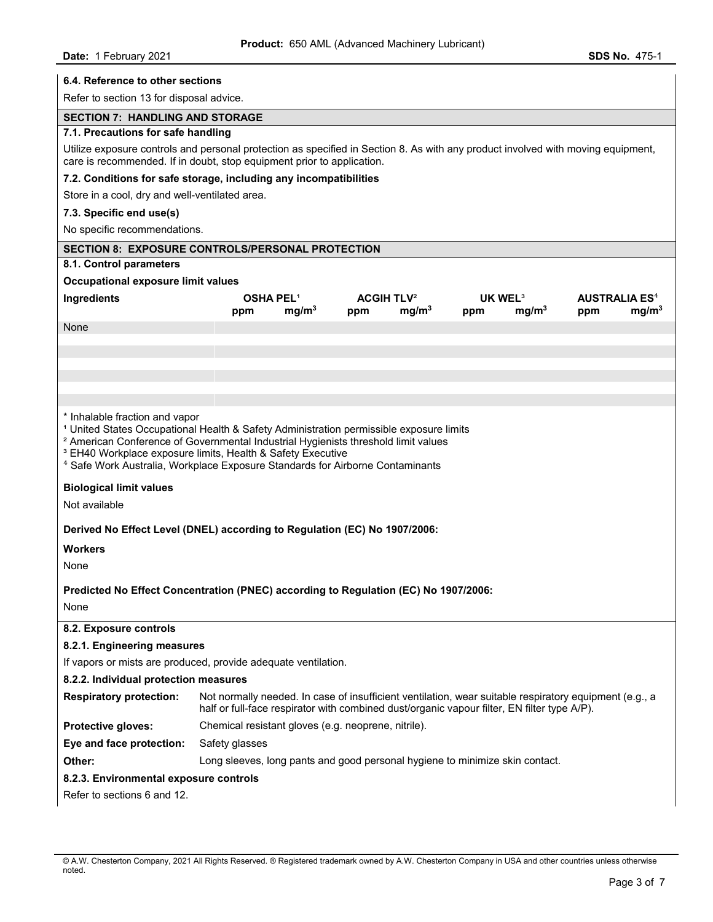| 6.4. Reference to other sections                                                                                                                                                                                                                                                                                                                                                                            |                                                                                                                                                                                                            |                                                          |                                                 |                                                             |  |
|-------------------------------------------------------------------------------------------------------------------------------------------------------------------------------------------------------------------------------------------------------------------------------------------------------------------------------------------------------------------------------------------------------------|------------------------------------------------------------------------------------------------------------------------------------------------------------------------------------------------------------|----------------------------------------------------------|-------------------------------------------------|-------------------------------------------------------------|--|
| Refer to section 13 for disposal advice.                                                                                                                                                                                                                                                                                                                                                                    |                                                                                                                                                                                                            |                                                          |                                                 |                                                             |  |
| <b>SECTION 7: HANDLING AND STORAGE</b>                                                                                                                                                                                                                                                                                                                                                                      |                                                                                                                                                                                                            |                                                          |                                                 |                                                             |  |
| 7.1. Precautions for safe handling                                                                                                                                                                                                                                                                                                                                                                          |                                                                                                                                                                                                            |                                                          |                                                 |                                                             |  |
|                                                                                                                                                                                                                                                                                                                                                                                                             | Utilize exposure controls and personal protection as specified in Section 8. As with any product involved with moving equipment,<br>care is recommended. If in doubt, stop equipment prior to application. |                                                          |                                                 |                                                             |  |
|                                                                                                                                                                                                                                                                                                                                                                                                             | 7.2. Conditions for safe storage, including any incompatibilities                                                                                                                                          |                                                          |                                                 |                                                             |  |
| Store in a cool, dry and well-ventilated area.                                                                                                                                                                                                                                                                                                                                                              |                                                                                                                                                                                                            |                                                          |                                                 |                                                             |  |
| 7.3. Specific end use(s)                                                                                                                                                                                                                                                                                                                                                                                    |                                                                                                                                                                                                            |                                                          |                                                 |                                                             |  |
| No specific recommendations.                                                                                                                                                                                                                                                                                                                                                                                |                                                                                                                                                                                                            |                                                          |                                                 |                                                             |  |
|                                                                                                                                                                                                                                                                                                                                                                                                             | <b>SECTION 8: EXPOSURE CONTROLS/PERSONAL PROTECTION</b>                                                                                                                                                    |                                                          |                                                 |                                                             |  |
| 8.1. Control parameters                                                                                                                                                                                                                                                                                                                                                                                     |                                                                                                                                                                                                            |                                                          |                                                 |                                                             |  |
| Occupational exposure limit values                                                                                                                                                                                                                                                                                                                                                                          |                                                                                                                                                                                                            |                                                          |                                                 |                                                             |  |
| Ingredients                                                                                                                                                                                                                                                                                                                                                                                                 | <b>OSHA PEL1</b><br>mg/m <sup>3</sup><br>ppm                                                                                                                                                               | <b>ACGIH TLV<sup>2</sup></b><br>mg/m <sup>3</sup><br>ppm | UK WEL <sup>3</sup><br>mq/m <sup>3</sup><br>ppm | <b>AUSTRALIA ES<sup>4</sup></b><br>mg/m <sup>3</sup><br>ppm |  |
| None                                                                                                                                                                                                                                                                                                                                                                                                        |                                                                                                                                                                                                            |                                                          |                                                 |                                                             |  |
|                                                                                                                                                                                                                                                                                                                                                                                                             |                                                                                                                                                                                                            |                                                          |                                                 |                                                             |  |
|                                                                                                                                                                                                                                                                                                                                                                                                             |                                                                                                                                                                                                            |                                                          |                                                 |                                                             |  |
|                                                                                                                                                                                                                                                                                                                                                                                                             |                                                                                                                                                                                                            |                                                          |                                                 |                                                             |  |
|                                                                                                                                                                                                                                                                                                                                                                                                             |                                                                                                                                                                                                            |                                                          |                                                 |                                                             |  |
| * Inhalable fraction and vapor<br><sup>1</sup> United States Occupational Health & Safety Administration permissible exposure limits<br><sup>2</sup> American Conference of Governmental Industrial Hygienists threshold limit values<br><sup>3</sup> EH40 Workplace exposure limits, Health & Safety Executive<br><sup>4</sup> Safe Work Australia, Workplace Exposure Standards for Airborne Contaminants |                                                                                                                                                                                                            |                                                          |                                                 |                                                             |  |
| <b>Biological limit values</b>                                                                                                                                                                                                                                                                                                                                                                              |                                                                                                                                                                                                            |                                                          |                                                 |                                                             |  |
| Not available                                                                                                                                                                                                                                                                                                                                                                                               |                                                                                                                                                                                                            |                                                          |                                                 |                                                             |  |
| Derived No Effect Level (DNEL) according to Regulation (EC) No 1907/2006:                                                                                                                                                                                                                                                                                                                                   |                                                                                                                                                                                                            |                                                          |                                                 |                                                             |  |
| <b>Workers</b>                                                                                                                                                                                                                                                                                                                                                                                              |                                                                                                                                                                                                            |                                                          |                                                 |                                                             |  |
| None                                                                                                                                                                                                                                                                                                                                                                                                        |                                                                                                                                                                                                            |                                                          |                                                 |                                                             |  |
|                                                                                                                                                                                                                                                                                                                                                                                                             |                                                                                                                                                                                                            |                                                          |                                                 |                                                             |  |
|                                                                                                                                                                                                                                                                                                                                                                                                             | Predicted No Effect Concentration (PNEC) according to Regulation (EC) No 1907/2006:                                                                                                                        |                                                          |                                                 |                                                             |  |
| None                                                                                                                                                                                                                                                                                                                                                                                                        |                                                                                                                                                                                                            |                                                          |                                                 |                                                             |  |
| 8.2. Exposure controls                                                                                                                                                                                                                                                                                                                                                                                      |                                                                                                                                                                                                            |                                                          |                                                 |                                                             |  |
| 8.2.1. Engineering measures                                                                                                                                                                                                                                                                                                                                                                                 |                                                                                                                                                                                                            |                                                          |                                                 |                                                             |  |
| If vapors or mists are produced, provide adequate ventilation.                                                                                                                                                                                                                                                                                                                                              |                                                                                                                                                                                                            |                                                          |                                                 |                                                             |  |
| 8.2.2. Individual protection measures                                                                                                                                                                                                                                                                                                                                                                       |                                                                                                                                                                                                            |                                                          |                                                 |                                                             |  |
| <b>Respiratory protection:</b>                                                                                                                                                                                                                                                                                                                                                                              | Not normally needed. In case of insufficient ventilation, wear suitable respiratory equipment (e.g., a<br>half or full-face respirator with combined dust/organic vapour filter, EN filter type A/P).      |                                                          |                                                 |                                                             |  |
| Protective gloves:                                                                                                                                                                                                                                                                                                                                                                                          | Chemical resistant gloves (e.g. neoprene, nitrile).                                                                                                                                                        |                                                          |                                                 |                                                             |  |
| Eye and face protection:                                                                                                                                                                                                                                                                                                                                                                                    | Safety glasses                                                                                                                                                                                             |                                                          |                                                 |                                                             |  |
| Other:                                                                                                                                                                                                                                                                                                                                                                                                      | Long sleeves, long pants and good personal hygiene to minimize skin contact.                                                                                                                               |                                                          |                                                 |                                                             |  |
| 8.2.3. Environmental exposure controls                                                                                                                                                                                                                                                                                                                                                                      |                                                                                                                                                                                                            |                                                          |                                                 |                                                             |  |
| Refer to sections 6 and 12.                                                                                                                                                                                                                                                                                                                                                                                 |                                                                                                                                                                                                            |                                                          |                                                 |                                                             |  |

<sup>©</sup> A.W. Chesterton Company, 2021 All Rights Reserved. ® Registered trademark owned by A.W. Chesterton Company in USA and other countries unless otherwise noted.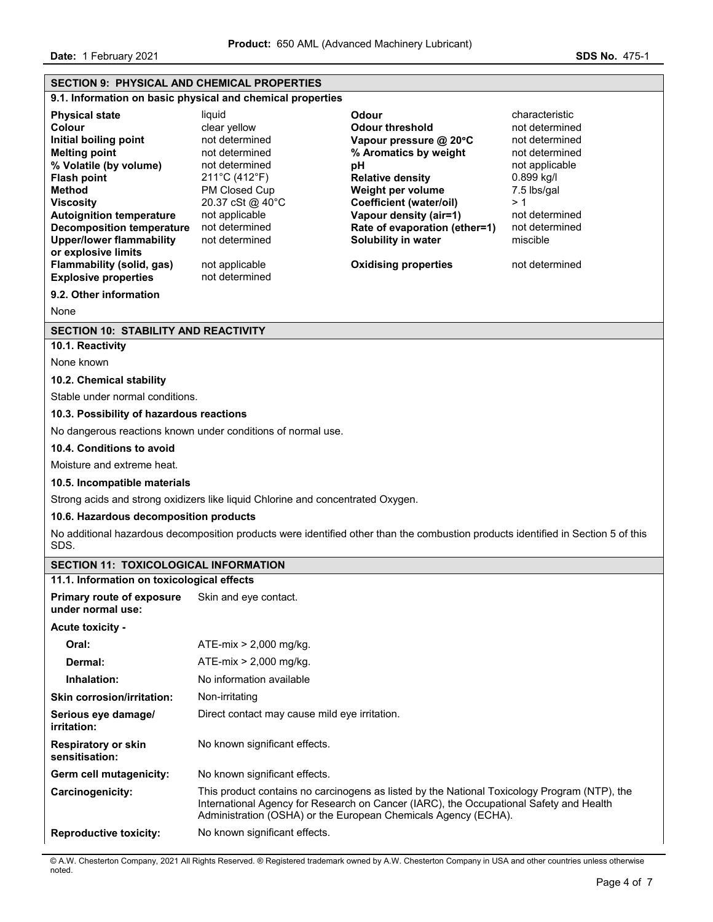**Date:** 1 February 2021 **SDS No. 475-1** 

| <b>SECTION 9: PHYSICAL AND CHEMICAL PROPERTIES</b>                                                                                                                                                                                                                                                                                                                        |                                                                                                                                                                                                                                                          |                                                                                                                                                                                                                                                                                             |                                                                                                                                                                                             |  |
|---------------------------------------------------------------------------------------------------------------------------------------------------------------------------------------------------------------------------------------------------------------------------------------------------------------------------------------------------------------------------|----------------------------------------------------------------------------------------------------------------------------------------------------------------------------------------------------------------------------------------------------------|---------------------------------------------------------------------------------------------------------------------------------------------------------------------------------------------------------------------------------------------------------------------------------------------|---------------------------------------------------------------------------------------------------------------------------------------------------------------------------------------------|--|
|                                                                                                                                                                                                                                                                                                                                                                           | 9.1. Information on basic physical and chemical properties                                                                                                                                                                                               |                                                                                                                                                                                                                                                                                             |                                                                                                                                                                                             |  |
| <b>Physical state</b><br>Colour<br>Initial boiling point<br><b>Melting point</b><br>% Volatile (by volume)<br><b>Flash point</b><br><b>Method</b><br><b>Viscositv</b><br><b>Autoignition temperature</b><br><b>Decomposition temperature</b><br><b>Upper/lower flammability</b><br>or explosive limits<br><b>Flammability (solid, gas)</b><br><b>Explosive properties</b> | liquid<br>clear yellow<br>not determined<br>not determined<br>not determined<br>211°C (412°F)<br>PM Closed Cup<br>20.37 cSt @ 40°C<br>not applicable<br>not determined<br>not determined<br>not applicable<br>not determined                             | Odour<br><b>Odour threshold</b><br>Vapour pressure @ 20°C<br>% Aromatics by weight<br>рH<br><b>Relative density</b><br>Weight per volume<br><b>Coefficient (water/oil)</b><br>Vapour density (air=1)<br>Rate of evaporation (ether=1)<br>Solubility in water<br><b>Oxidising properties</b> | characteristic<br>not determined<br>not determined<br>not determined<br>not applicable<br>0.899 kg/l<br>7.5 lbs/gal<br>>1<br>not determined<br>not determined<br>miscible<br>not determined |  |
| 9.2. Other information                                                                                                                                                                                                                                                                                                                                                    |                                                                                                                                                                                                                                                          |                                                                                                                                                                                                                                                                                             |                                                                                                                                                                                             |  |
| None                                                                                                                                                                                                                                                                                                                                                                      |                                                                                                                                                                                                                                                          |                                                                                                                                                                                                                                                                                             |                                                                                                                                                                                             |  |
| <b>SECTION 10: STABILITY AND REACTIVITY</b>                                                                                                                                                                                                                                                                                                                               |                                                                                                                                                                                                                                                          |                                                                                                                                                                                                                                                                                             |                                                                                                                                                                                             |  |
| 10.1. Reactivity<br>None known                                                                                                                                                                                                                                                                                                                                            |                                                                                                                                                                                                                                                          |                                                                                                                                                                                                                                                                                             |                                                                                                                                                                                             |  |
| 10.2. Chemical stability                                                                                                                                                                                                                                                                                                                                                  |                                                                                                                                                                                                                                                          |                                                                                                                                                                                                                                                                                             |                                                                                                                                                                                             |  |
| Stable under normal conditions.                                                                                                                                                                                                                                                                                                                                           |                                                                                                                                                                                                                                                          |                                                                                                                                                                                                                                                                                             |                                                                                                                                                                                             |  |
| 10.3. Possibility of hazardous reactions                                                                                                                                                                                                                                                                                                                                  |                                                                                                                                                                                                                                                          |                                                                                                                                                                                                                                                                                             |                                                                                                                                                                                             |  |
|                                                                                                                                                                                                                                                                                                                                                                           | No dangerous reactions known under conditions of normal use.                                                                                                                                                                                             |                                                                                                                                                                                                                                                                                             |                                                                                                                                                                                             |  |
| 10.4. Conditions to avoid                                                                                                                                                                                                                                                                                                                                                 |                                                                                                                                                                                                                                                          |                                                                                                                                                                                                                                                                                             |                                                                                                                                                                                             |  |
| Moisture and extreme heat.                                                                                                                                                                                                                                                                                                                                                |                                                                                                                                                                                                                                                          |                                                                                                                                                                                                                                                                                             |                                                                                                                                                                                             |  |
| 10.5. Incompatible materials                                                                                                                                                                                                                                                                                                                                              |                                                                                                                                                                                                                                                          |                                                                                                                                                                                                                                                                                             |                                                                                                                                                                                             |  |
|                                                                                                                                                                                                                                                                                                                                                                           | Strong acids and strong oxidizers like liquid Chlorine and concentrated Oxygen.                                                                                                                                                                          |                                                                                                                                                                                                                                                                                             |                                                                                                                                                                                             |  |
| 10.6. Hazardous decomposition products                                                                                                                                                                                                                                                                                                                                    |                                                                                                                                                                                                                                                          |                                                                                                                                                                                                                                                                                             |                                                                                                                                                                                             |  |
| SDS.                                                                                                                                                                                                                                                                                                                                                                      |                                                                                                                                                                                                                                                          | No additional hazardous decomposition products were identified other than the combustion products identified in Section 5 of this                                                                                                                                                           |                                                                                                                                                                                             |  |
| <b>SECTION 11: TOXICOLOGICAL INFORMATION</b>                                                                                                                                                                                                                                                                                                                              |                                                                                                                                                                                                                                                          |                                                                                                                                                                                                                                                                                             |                                                                                                                                                                                             |  |
| 11.1. Information on toxicological effects                                                                                                                                                                                                                                                                                                                                |                                                                                                                                                                                                                                                          |                                                                                                                                                                                                                                                                                             |                                                                                                                                                                                             |  |
| Primary route of exposure Skin and eye contact.<br>under normal use:                                                                                                                                                                                                                                                                                                      |                                                                                                                                                                                                                                                          |                                                                                                                                                                                                                                                                                             |                                                                                                                                                                                             |  |
| Acute toxicity -                                                                                                                                                                                                                                                                                                                                                          |                                                                                                                                                                                                                                                          |                                                                                                                                                                                                                                                                                             |                                                                                                                                                                                             |  |
| Oral:                                                                                                                                                                                                                                                                                                                                                                     | ATE-mix $> 2,000$ mg/kg.                                                                                                                                                                                                                                 |                                                                                                                                                                                                                                                                                             |                                                                                                                                                                                             |  |
| Dermal:                                                                                                                                                                                                                                                                                                                                                                   | ATE-mix $> 2,000$ mg/kg.                                                                                                                                                                                                                                 |                                                                                                                                                                                                                                                                                             |                                                                                                                                                                                             |  |
| Inhalation:                                                                                                                                                                                                                                                                                                                                                               | No information available                                                                                                                                                                                                                                 |                                                                                                                                                                                                                                                                                             |                                                                                                                                                                                             |  |
| <b>Skin corrosion/irritation:</b>                                                                                                                                                                                                                                                                                                                                         | Non-irritating                                                                                                                                                                                                                                           |                                                                                                                                                                                                                                                                                             |                                                                                                                                                                                             |  |
| Serious eye damage/<br>irritation:                                                                                                                                                                                                                                                                                                                                        | Direct contact may cause mild eye irritation.                                                                                                                                                                                                            |                                                                                                                                                                                                                                                                                             |                                                                                                                                                                                             |  |
| <b>Respiratory or skin</b><br>sensitisation:                                                                                                                                                                                                                                                                                                                              | No known significant effects.                                                                                                                                                                                                                            |                                                                                                                                                                                                                                                                                             |                                                                                                                                                                                             |  |
| Germ cell mutagenicity:                                                                                                                                                                                                                                                                                                                                                   | No known significant effects.                                                                                                                                                                                                                            |                                                                                                                                                                                                                                                                                             |                                                                                                                                                                                             |  |
| Carcinogenicity:                                                                                                                                                                                                                                                                                                                                                          | This product contains no carcinogens as listed by the National Toxicology Program (NTP), the<br>International Agency for Research on Cancer (IARC), the Occupational Safety and Health<br>Administration (OSHA) or the European Chemicals Agency (ECHA). |                                                                                                                                                                                                                                                                                             |                                                                                                                                                                                             |  |
| <b>Reproductive toxicity:</b>                                                                                                                                                                                                                                                                                                                                             | No known significant effects.                                                                                                                                                                                                                            |                                                                                                                                                                                                                                                                                             |                                                                                                                                                                                             |  |

© A.W. Chesterton Company, 2021 All Rights Reserved. ® Registered trademark owned by A.W. Chesterton Company in USA and other countries unless otherwise noted.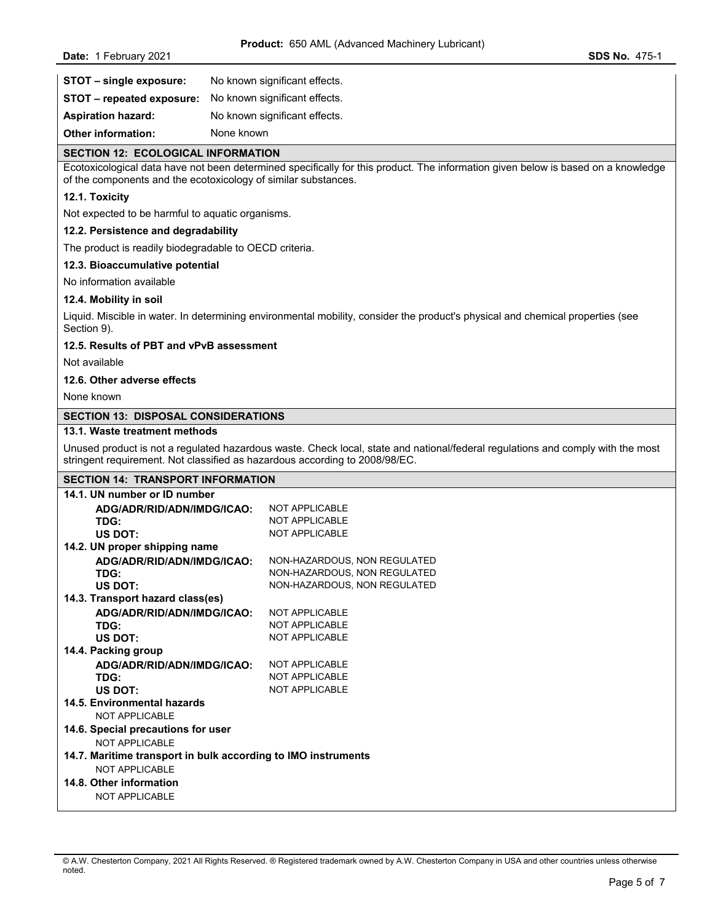| STOT - single exposure:          | No known significant effects. |
|----------------------------------|-------------------------------|
| <b>STOT - repeated exposure:</b> | No known significant effects. |
| <b>Aspiration hazard:</b>        | No known significant effects. |
| <b>Other information:</b>        | None known                    |

#### **SECTION 12: ECOLOGICAL INFORMATION**

Ecotoxicological data have not been determined specifically for this product. The information given below is based on a knowledge of the components and the ecotoxicology of similar substances.

## **12.1. Toxicity**

Not expected to be harmful to aquatic organisms.

#### **12.2. Persistence and degradability**

The product is readily biodegradable to OECD criteria.

## **12.3. Bioaccumulative potential**

No information available

#### **12.4. Mobility in soil**

Liquid. Miscible in water. In determining environmental mobility, consider the product's physical and chemical properties (see Section 9).

## **12.5. Results of PBT and vPvB assessment**

Not available

## **12.6. Other adverse effects**

None known

# **SECTION 13: DISPOSAL CONSIDERATIONS**

## **13.1. Waste treatment methods**

Unused product is not a regulated hazardous waste. Check local, state and national/federal regulations and comply with the most stringent requirement. Not classified as hazardous according to 2008/98/EC.

#### **SECTION 14: TRANSPORT INFORMATION**

| 14.1. UN number or ID number                                  |                              |  |  |  |
|---------------------------------------------------------------|------------------------------|--|--|--|
| ADG/ADR/RID/ADN/IMDG/ICAO:                                    | <b>NOT APPLICABLE</b>        |  |  |  |
| TDG:                                                          | <b>NOT APPLICABLE</b>        |  |  |  |
| US DOT:                                                       | <b>NOT APPLICABLE</b>        |  |  |  |
| 14.2. UN proper shipping name                                 |                              |  |  |  |
| ADG/ADR/RID/ADN/IMDG/ICAO:                                    | NON-HAZARDOUS, NON REGULATED |  |  |  |
| TDG:                                                          | NON-HAZARDOUS, NON REGULATED |  |  |  |
| US DOT:                                                       | NON-HAZARDOUS, NON REGULATED |  |  |  |
| 14.3. Transport hazard class(es)                              |                              |  |  |  |
| ADG/ADR/RID/ADN/IMDG/ICAO:                                    | <b>NOT APPLICABLE</b>        |  |  |  |
| TDG:                                                          | NOT APPLICABLE               |  |  |  |
| US DOT:                                                       | <b>NOT APPLICABLE</b>        |  |  |  |
| 14.4. Packing group                                           |                              |  |  |  |
| ADG/ADR/RID/ADN/IMDG/ICAO:                                    | <b>NOT APPLICABLE</b>        |  |  |  |
| TDG:                                                          | <b>NOT APPLICABLE</b>        |  |  |  |
| US DOT:                                                       | NOT APPLICABLE               |  |  |  |
| 14.5. Environmental hazards                                   |                              |  |  |  |
| NOT APPLICABLE                                                |                              |  |  |  |
| 14.6. Special precautions for user                            |                              |  |  |  |
| NOT APPLICABLE                                                |                              |  |  |  |
| 14.7. Maritime transport in bulk according to IMO instruments |                              |  |  |  |
| NOT APPLICABLE                                                |                              |  |  |  |
| 14.8. Other information                                       |                              |  |  |  |
| <b>NOT APPLICABLE</b>                                         |                              |  |  |  |

<sup>©</sup> A.W. Chesterton Company, 2021 All Rights Reserved. ® Registered trademark owned by A.W. Chesterton Company in USA and other countries unless otherwise noted.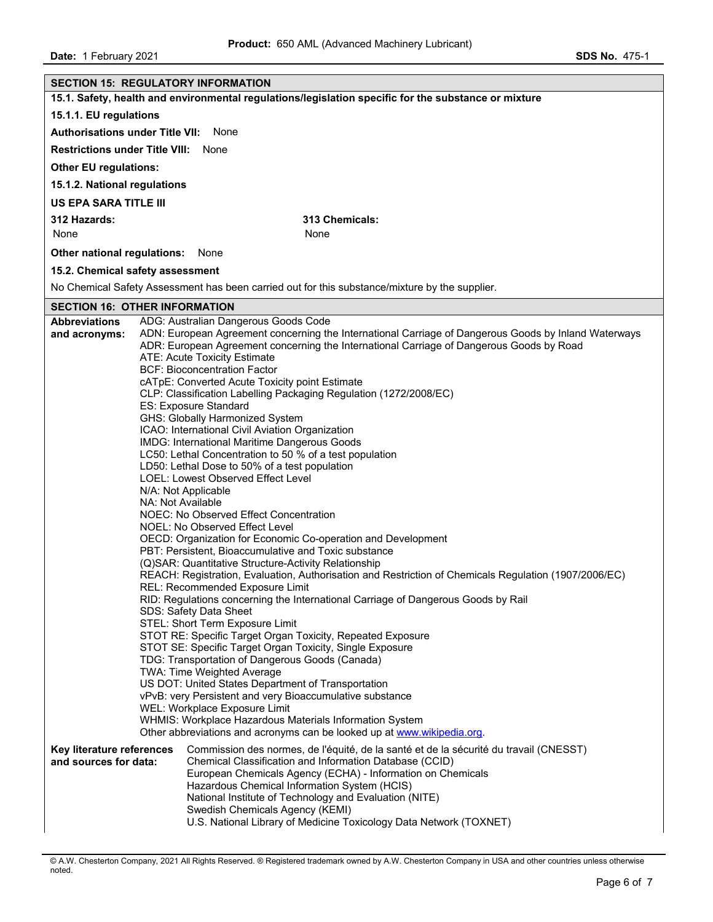**Date:** 1 February 2021 **SDS No. 475-1** 

|                                                                                                      | <b>SECTION 15: REGULATORY INFORMATION</b>                                                                                                                                                                                                                                                                                                                                                                                                                                                                                                                                                                                                                                                                                                                                                                                                                                                                                                                                                                                                                                                                                                                                                                                                                                                                                                                                                                                                                                                                                                                                                                                                                                                                                                                                                                                                                                |  |  |
|------------------------------------------------------------------------------------------------------|--------------------------------------------------------------------------------------------------------------------------------------------------------------------------------------------------------------------------------------------------------------------------------------------------------------------------------------------------------------------------------------------------------------------------------------------------------------------------------------------------------------------------------------------------------------------------------------------------------------------------------------------------------------------------------------------------------------------------------------------------------------------------------------------------------------------------------------------------------------------------------------------------------------------------------------------------------------------------------------------------------------------------------------------------------------------------------------------------------------------------------------------------------------------------------------------------------------------------------------------------------------------------------------------------------------------------------------------------------------------------------------------------------------------------------------------------------------------------------------------------------------------------------------------------------------------------------------------------------------------------------------------------------------------------------------------------------------------------------------------------------------------------------------------------------------------------------------------------------------------------|--|--|
| 15.1. Safety, health and environmental regulations/legislation specific for the substance or mixture |                                                                                                                                                                                                                                                                                                                                                                                                                                                                                                                                                                                                                                                                                                                                                                                                                                                                                                                                                                                                                                                                                                                                                                                                                                                                                                                                                                                                                                                                                                                                                                                                                                                                                                                                                                                                                                                                          |  |  |
| 15.1.1. EU regulations                                                                               |                                                                                                                                                                                                                                                                                                                                                                                                                                                                                                                                                                                                                                                                                                                                                                                                                                                                                                                                                                                                                                                                                                                                                                                                                                                                                                                                                                                                                                                                                                                                                                                                                                                                                                                                                                                                                                                                          |  |  |
| <b>Authorisations under Title VII:</b><br>None                                                       |                                                                                                                                                                                                                                                                                                                                                                                                                                                                                                                                                                                                                                                                                                                                                                                                                                                                                                                                                                                                                                                                                                                                                                                                                                                                                                                                                                                                                                                                                                                                                                                                                                                                                                                                                                                                                                                                          |  |  |
| <b>Restrictions under Title VIII:</b>                                                                | None                                                                                                                                                                                                                                                                                                                                                                                                                                                                                                                                                                                                                                                                                                                                                                                                                                                                                                                                                                                                                                                                                                                                                                                                                                                                                                                                                                                                                                                                                                                                                                                                                                                                                                                                                                                                                                                                     |  |  |
| <b>Other EU regulations:</b>                                                                         |                                                                                                                                                                                                                                                                                                                                                                                                                                                                                                                                                                                                                                                                                                                                                                                                                                                                                                                                                                                                                                                                                                                                                                                                                                                                                                                                                                                                                                                                                                                                                                                                                                                                                                                                                                                                                                                                          |  |  |
| 15.1.2. National regulations                                                                         |                                                                                                                                                                                                                                                                                                                                                                                                                                                                                                                                                                                                                                                                                                                                                                                                                                                                                                                                                                                                                                                                                                                                                                                                                                                                                                                                                                                                                                                                                                                                                                                                                                                                                                                                                                                                                                                                          |  |  |
| <b>US EPA SARA TITLE III</b>                                                                         |                                                                                                                                                                                                                                                                                                                                                                                                                                                                                                                                                                                                                                                                                                                                                                                                                                                                                                                                                                                                                                                                                                                                                                                                                                                                                                                                                                                                                                                                                                                                                                                                                                                                                                                                                                                                                                                                          |  |  |
| 312 Hazards:                                                                                         | 313 Chemicals:                                                                                                                                                                                                                                                                                                                                                                                                                                                                                                                                                                                                                                                                                                                                                                                                                                                                                                                                                                                                                                                                                                                                                                                                                                                                                                                                                                                                                                                                                                                                                                                                                                                                                                                                                                                                                                                           |  |  |
| None                                                                                                 | None                                                                                                                                                                                                                                                                                                                                                                                                                                                                                                                                                                                                                                                                                                                                                                                                                                                                                                                                                                                                                                                                                                                                                                                                                                                                                                                                                                                                                                                                                                                                                                                                                                                                                                                                                                                                                                                                     |  |  |
| Other national regulations:                                                                          | None                                                                                                                                                                                                                                                                                                                                                                                                                                                                                                                                                                                                                                                                                                                                                                                                                                                                                                                                                                                                                                                                                                                                                                                                                                                                                                                                                                                                                                                                                                                                                                                                                                                                                                                                                                                                                                                                     |  |  |
| 15.2. Chemical safety assessment                                                                     |                                                                                                                                                                                                                                                                                                                                                                                                                                                                                                                                                                                                                                                                                                                                                                                                                                                                                                                                                                                                                                                                                                                                                                                                                                                                                                                                                                                                                                                                                                                                                                                                                                                                                                                                                                                                                                                                          |  |  |
|                                                                                                      | No Chemical Safety Assessment has been carried out for this substance/mixture by the supplier.                                                                                                                                                                                                                                                                                                                                                                                                                                                                                                                                                                                                                                                                                                                                                                                                                                                                                                                                                                                                                                                                                                                                                                                                                                                                                                                                                                                                                                                                                                                                                                                                                                                                                                                                                                           |  |  |
| <b>SECTION 16: OTHER INFORMATION</b>                                                                 |                                                                                                                                                                                                                                                                                                                                                                                                                                                                                                                                                                                                                                                                                                                                                                                                                                                                                                                                                                                                                                                                                                                                                                                                                                                                                                                                                                                                                                                                                                                                                                                                                                                                                                                                                                                                                                                                          |  |  |
| <b>Abbreviations</b><br>and acronyms:                                                                | ADG: Australian Dangerous Goods Code<br>ADN: European Agreement concerning the International Carriage of Dangerous Goods by Inland Waterways<br>ADR: European Agreement concerning the International Carriage of Dangerous Goods by Road<br><b>ATE: Acute Toxicity Estimate</b><br><b>BCF: Bioconcentration Factor</b><br>cATpE: Converted Acute Toxicity point Estimate<br>CLP: Classification Labelling Packaging Regulation (1272/2008/EC)<br>ES: Exposure Standard<br>GHS: Globally Harmonized System<br>ICAO: International Civil Aviation Organization<br>IMDG: International Maritime Dangerous Goods<br>LC50: Lethal Concentration to 50 % of a test population<br>LD50: Lethal Dose to 50% of a test population<br>LOEL: Lowest Observed Effect Level<br>N/A: Not Applicable<br>NA: Not Available<br>NOEC: No Observed Effect Concentration<br>NOEL: No Observed Effect Level<br>OECD: Organization for Economic Co-operation and Development<br>PBT: Persistent, Bioaccumulative and Toxic substance<br>(Q)SAR: Quantitative Structure-Activity Relationship<br>REACH: Registration, Evaluation, Authorisation and Restriction of Chemicals Regulation (1907/2006/EC)<br>REL: Recommended Exposure Limit<br>RID: Regulations concerning the International Carriage of Dangerous Goods by Rail<br>SDS: Safety Data Sheet<br>STEL: Short Term Exposure Limit<br>STOT RE: Specific Target Organ Toxicity, Repeated Exposure<br>STOT SE: Specific Target Organ Toxicity, Single Exposure<br>TDG: Transportation of Dangerous Goods (Canada)<br>TWA: Time Weighted Average<br>US DOT: United States Department of Transportation<br>vPvB: very Persistent and very Bioaccumulative substance<br>WEL: Workplace Exposure Limit<br>WHMIS: Workplace Hazardous Materials Information System<br>Other abbreviations and acronyms can be looked up at www.wikipedia.org. |  |  |
| Key literature references<br>and sources for data:                                                   | Commission des normes, de l'équité, de la santé et de la sécurité du travail (CNESST)<br>Chemical Classification and Information Database (CCID)<br>European Chemicals Agency (ECHA) - Information on Chemicals<br>Hazardous Chemical Information System (HCIS)<br>National Institute of Technology and Evaluation (NITE)<br>Swedish Chemicals Agency (KEMI)<br>U.S. National Library of Medicine Toxicology Data Network (TOXNET)                                                                                                                                                                                                                                                                                                                                                                                                                                                                                                                                                                                                                                                                                                                                                                                                                                                                                                                                                                                                                                                                                                                                                                                                                                                                                                                                                                                                                                       |  |  |

© A.W. Chesterton Company, 2021 All Rights Reserved. ® Registered trademark owned by A.W. Chesterton Company in USA and other countries unless otherwise noted.